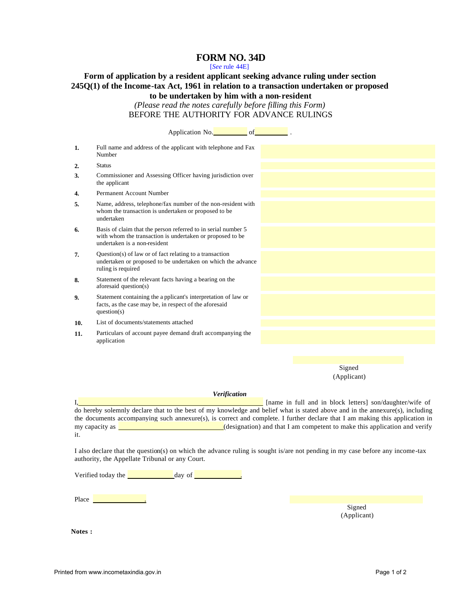# **FORM NO. 34D**

[*See* rule 44E]

# **Form of application by a resident applicant seeking advance ruling under section 245Q(1) of the Income-tax Act, 1961 in relation to a transaction undertaken or proposed to be undertaken by him with a non-resident**

*(Please read the notes carefully before filling this Form)* BEFORE THE AUTHORITY FOR ADVANCE RULINGS

|     | Application No. 6                                                                                                                                          |  |                       |  |
|-----|------------------------------------------------------------------------------------------------------------------------------------------------------------|--|-----------------------|--|
| 1.  | Full name and address of the applicant with telephone and Fax<br>Number                                                                                    |  |                       |  |
| 2.  | <b>Status</b>                                                                                                                                              |  |                       |  |
| 3.  | Commissioner and Assessing Officer having jurisdiction over<br>the applicant                                                                               |  |                       |  |
| 4.  | Permanent Account Number                                                                                                                                   |  |                       |  |
| 5.  | Name, address, telephone/fax number of the non-resident with<br>whom the transaction is undertaken or proposed to be<br>undertaken                         |  |                       |  |
| 6.  | Basis of claim that the person referred to in serial number 5<br>with whom the transaction is undertaken or proposed to be<br>undertaken is a non-resident |  |                       |  |
| 7.  | Question(s) of law or of fact relating to a transaction<br>undertaken or proposed to be undertaken on which the advance<br>ruling is required              |  |                       |  |
| 8.  | Statement of the relevant facts having a bearing on the<br>aforesaid question(s)                                                                           |  |                       |  |
| 9.  | Statement containing the a pplicant's interpretation of law or<br>facts, as the case may be, in respect of the aforesaid<br>question(s)                    |  |                       |  |
| 10. | List of documents/statements attached                                                                                                                      |  |                       |  |
| 11. | Particulars of account payee demand draft accompanying the<br>application                                                                                  |  |                       |  |
|     |                                                                                                                                                            |  |                       |  |
|     |                                                                                                                                                            |  |                       |  |
|     |                                                                                                                                                            |  | Signed<br>(Applicant) |  |
|     | $\mathbf{V}$ . $\mathbf{r}$ . $\mathbf{r}$ .                                                                                                               |  |                       |  |

#### *Verification*

I, and in the latter is a latter of the latter in full and in block letters] son/daughter/wife of do hereby solemnly declare that to the best of my knowledge and belief what is stated above and in the annexure(s), including the documents accompanying such annexure(s), is correct and complete. I further declare that I am making this application in my capacity as  $\Box$ it.

I also declare that the question(s) on which the advance ruling is sought is/are not pending in my case before any income-tax authority, the Appellate Tribunal or any Court.

Verified today the  $\frac{d}{dx}$  day of  $\frac{d}{dx}$ 

Place <u>and the set of the set of the set of the set of the set of the set of the set of the set of the set of the set of the set of the set of the set of the set of the set of the set of the set of the set of the set of th</u>

Signed (Applicant)

**Notes :**